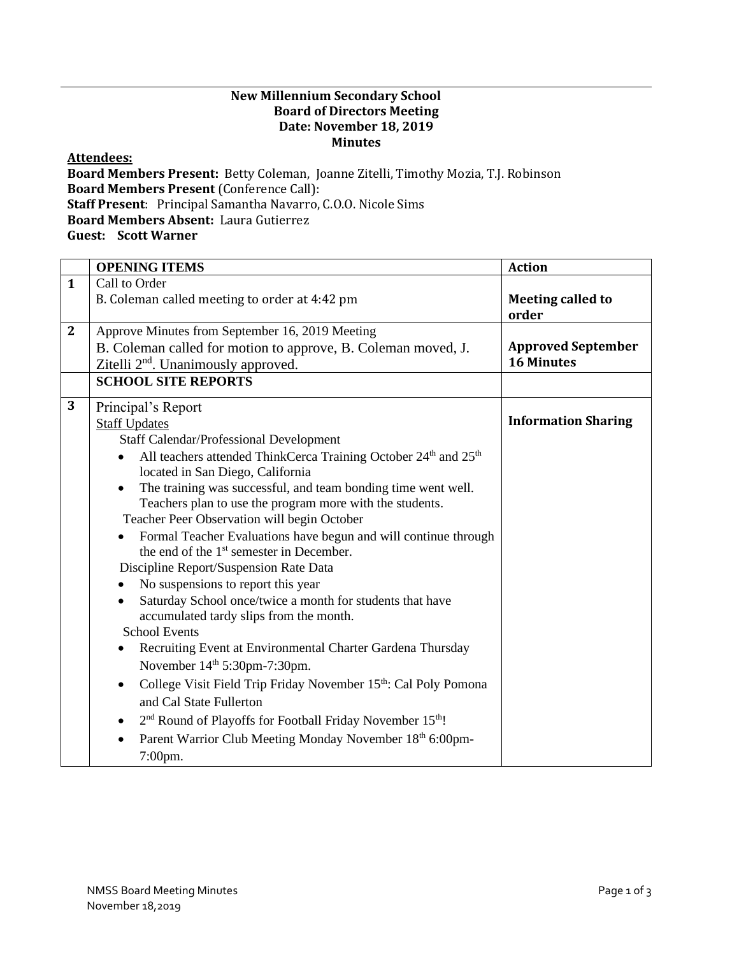## **New Millennium Secondary School Board of Directors Meeting Date: November 18, 2019 Minutes**

## **Attendees:**

**Board Members Present:** Betty Coleman, Joanne Zitelli, Timothy Mozia, T.J. Robinson **Board Members Present** (Conference Call): **Staff Present**: Principal Samantha Navarro, C.O.O. Nicole Sims **Board Members Absent:** Laura Gutierrez **Guest: Scott Warner**

|              | <b>OPENING ITEMS</b>                                                                                              | <b>Action</b>                     |
|--------------|-------------------------------------------------------------------------------------------------------------------|-----------------------------------|
| $\mathbf{1}$ | Call to Order                                                                                                     |                                   |
|              | B. Coleman called meeting to order at 4:42 pm                                                                     | <b>Meeting called to</b><br>order |
| $\mathbf{2}$ | Approve Minutes from September 16, 2019 Meeting                                                                   |                                   |
|              | B. Coleman called for motion to approve, B. Coleman moved, J.                                                     | <b>Approved September</b>         |
|              | Zitelli 2 <sup>nd</sup> . Unanimously approved.                                                                   | <b>16 Minutes</b>                 |
|              | <b>SCHOOL SITE REPORTS</b>                                                                                        |                                   |
| 3            | Principal's Report                                                                                                |                                   |
|              | <b>Staff Updates</b>                                                                                              | <b>Information Sharing</b>        |
|              | <b>Staff Calendar/Professional Development</b>                                                                    |                                   |
|              | All teachers attended ThinkCerca Training October 24 <sup>th</sup> and 25 <sup>th</sup>                           |                                   |
|              | located in San Diego, California                                                                                  |                                   |
|              | The training was successful, and team bonding time went well.                                                     |                                   |
|              | Teachers plan to use the program more with the students.                                                          |                                   |
|              | Teacher Peer Observation will begin October                                                                       |                                   |
|              | Formal Teacher Evaluations have begun and will continue through                                                   |                                   |
|              | the end of the 1 <sup>st</sup> semester in December.                                                              |                                   |
|              | Discipline Report/Suspension Rate Data                                                                            |                                   |
|              | No suspensions to report this year<br>$\bullet$                                                                   |                                   |
|              | Saturday School once/twice a month for students that have<br>$\bullet$<br>accumulated tardy slips from the month. |                                   |
|              | <b>School Events</b>                                                                                              |                                   |
|              | Recruiting Event at Environmental Charter Gardena Thursday                                                        |                                   |
|              | November 14th 5:30pm-7:30pm.                                                                                      |                                   |
|              | College Visit Field Trip Friday November 15th: Cal Poly Pomona<br>$\bullet$                                       |                                   |
|              | and Cal State Fullerton                                                                                           |                                   |
|              | 2 <sup>nd</sup> Round of Playoffs for Football Friday November 15 <sup>th</sup> !<br>٠                            |                                   |
|              | Parent Warrior Club Meeting Monday November 18th 6:00pm-                                                          |                                   |
|              | 7:00pm.                                                                                                           |                                   |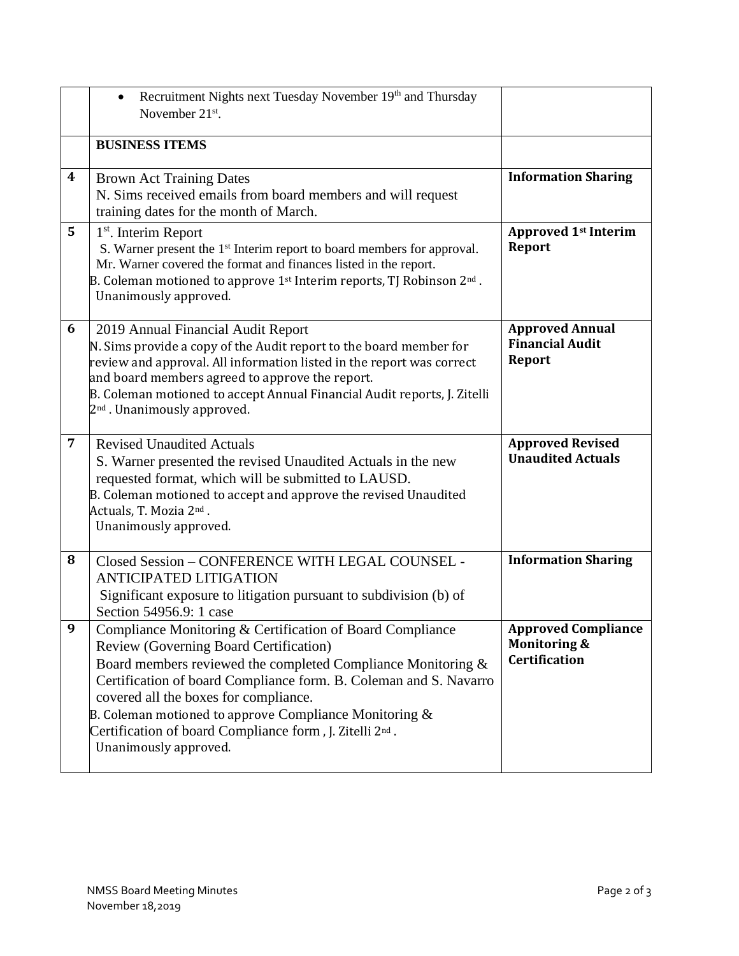|                | Recruitment Nights next Tuesday November 19th and Thursday<br>$\bullet$<br>November $21^{st}$ .                                                                                                                                                                                                                                                                                                                                                 |                                                                               |
|----------------|-------------------------------------------------------------------------------------------------------------------------------------------------------------------------------------------------------------------------------------------------------------------------------------------------------------------------------------------------------------------------------------------------------------------------------------------------|-------------------------------------------------------------------------------|
|                | <b>BUSINESS ITEMS</b>                                                                                                                                                                                                                                                                                                                                                                                                                           |                                                                               |
| 4              | <b>Brown Act Training Dates</b><br>N. Sims received emails from board members and will request<br>training dates for the month of March.                                                                                                                                                                                                                                                                                                        | <b>Information Sharing</b>                                                    |
| 5              | $1st$ . Interim Report<br>S. Warner present the 1 <sup>st</sup> Interim report to board members for approval.<br>Mr. Warner covered the format and finances listed in the report.<br>B. Coleman motioned to approve $1st$ Interim reports, TJ Robinson $2nd$ .<br>Unanimously approved.                                                                                                                                                         | <b>Approved 1st Interim</b><br><b>Report</b>                                  |
| 6              | 2019 Annual Financial Audit Report<br>N. Sims provide a copy of the Audit report to the board member for<br>review and approval. All information listed in the report was correct<br>and board members agreed to approve the report.<br>B. Coleman motioned to accept Annual Financial Audit reports, J. Zitelli<br>2 <sup>nd</sup> . Unanimously approved.                                                                                     | <b>Approved Annual</b><br><b>Financial Audit</b><br><b>Report</b>             |
| $\overline{7}$ | <b>Revised Unaudited Actuals</b><br>S. Warner presented the revised Unaudited Actuals in the new<br>requested format, which will be submitted to LAUSD.<br>B. Coleman motioned to accept and approve the revised Unaudited<br>Actuals, T. Mozia 2nd.<br>Unanimously approved.                                                                                                                                                                   | <b>Approved Revised</b><br><b>Unaudited Actuals</b>                           |
| 8              | Closed Session - CONFERENCE WITH LEGAL COUNSEL -<br><b>ANTICIPATED LITIGATION</b><br>Significant exposure to litigation pursuant to subdivision (b) of<br>Section 54956.9: 1 case                                                                                                                                                                                                                                                               | <b>Information Sharing</b>                                                    |
| 9              | Compliance Monitoring & Certification of Board Compliance<br>Review (Governing Board Certification)<br>Board members reviewed the completed Compliance Monitoring &<br>Certification of board Compliance form. B. Coleman and S. Navarro<br>covered all the boxes for compliance.<br>B. Coleman motioned to approve Compliance Monitoring $\&$<br>Certification of board Compliance form, J. Zitelli 2 <sup>nd</sup> .<br>Unanimously approved. | <b>Approved Compliance</b><br><b>Monitoring &amp;</b><br><b>Certification</b> |